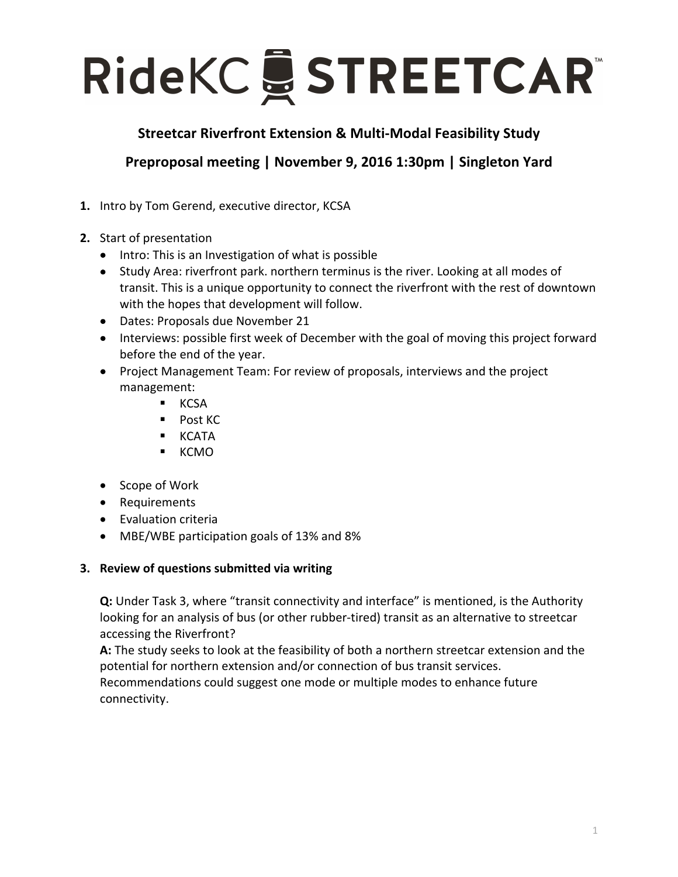## RideKC & STREETCAR

## **Streetcar Riverfront Extension & Multi-Modal Feasibility Study**

**Preproposal meeting | November 9, 2016 1:30pm | Singleton Yard** 

- **1.** Intro by Tom Gerend, executive director, KCSA
- **2.** Start of presentation
	- Intro: This is an Investigation of what is possible
	- Study Area: riverfront park. northern terminus is the river. Looking at all modes of transit. This is a unique opportunity to connect the riverfront with the rest of downtown with the hopes that development will follow.
	- Dates: Proposals due November 21
	- Interviews: possible first week of December with the goal of moving this project forward before the end of the year.
	- Project Management Team: For review of proposals, interviews and the project management:
		- § KCSA
		- Post KC
		- § KCATA
		- § KCMO
	- Scope of Work
	- Requirements
	- Evaluation criteria
	- MBE/WBE participation goals of 13% and 8%

## **3.** Review of questions submitted via writing

**Q:** Under Task 3, where "transit connectivity and interface" is mentioned, is the Authority looking for an analysis of bus (or other rubber-tired) transit as an alternative to streetcar accessing the Riverfront?

A: The study seeks to look at the feasibility of both a northern streetcar extension and the potential for northern extension and/or connection of bus transit services.

Recommendations could suggest one mode or multiple modes to enhance future connectivity.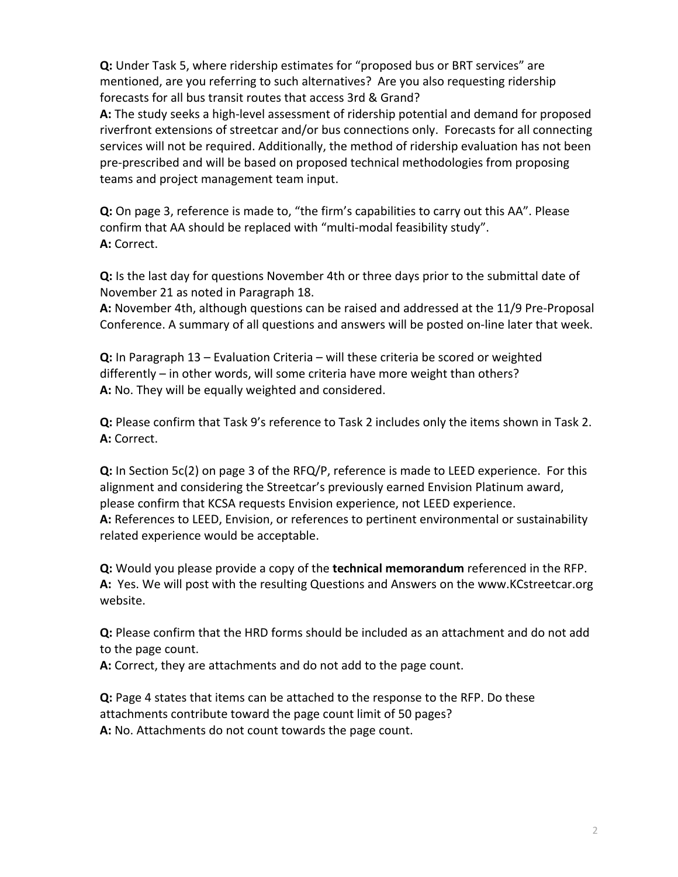**Q:** Under Task 5, where ridership estimates for "proposed bus or BRT services" are mentioned, are you referring to such alternatives? Are you also requesting ridership forecasts for all bus transit routes that access 3rd & Grand?

A: The study seeks a high-level assessment of ridership potential and demand for proposed riverfront extensions of streetcar and/or bus connections only. Forecasts for all connecting services will not be required. Additionally, the method of ridership evaluation has not been pre-prescribed and will be based on proposed technical methodologies from proposing teams and project management team input.

**Q:** On page 3, reference is made to, "the firm's capabilities to carry out this AA". Please confirm that AA should be replaced with "multi-modal feasibility study". **A:** Correct. 

**Q:** Is the last day for questions November 4th or three days prior to the submittal date of November 21 as noted in Paragraph 18.

A: November 4th, although questions can be raised and addressed at the 11/9 Pre-Proposal Conference. A summary of all questions and answers will be posted on-line later that week.

**Q:** In Paragraph 13 – Evaluation Criteria – will these criteria be scored or weighted differently  $-$  in other words, will some criteria have more weight than others? **A:** No. They will be equally weighted and considered.

**Q:** Please confirm that Task 9's reference to Task 2 includes only the items shown in Task 2. **A:** Correct.

**Q:** In Section 5c(2) on page 3 of the RFQ/P, reference is made to LEED experience. For this alignment and considering the Streetcar's previously earned Envision Platinum award, please confirm that KCSA requests Envision experience, not LEED experience. A: References to LEED, Envision, or references to pertinent environmental or sustainability related experience would be acceptable.

**Q:** Would you please provide a copy of the **technical memorandum** referenced in the RFP. A: Yes. We will post with the resulting Questions and Answers on the www.KCstreetcar.org website.

**Q:** Please confirm that the HRD forms should be included as an attachment and do not add to the page count.

A: Correct, they are attachments and do not add to the page count.

**Q:** Page 4 states that items can be attached to the response to the RFP. Do these attachments contribute toward the page count limit of 50 pages? A: No. Attachments do not count towards the page count.